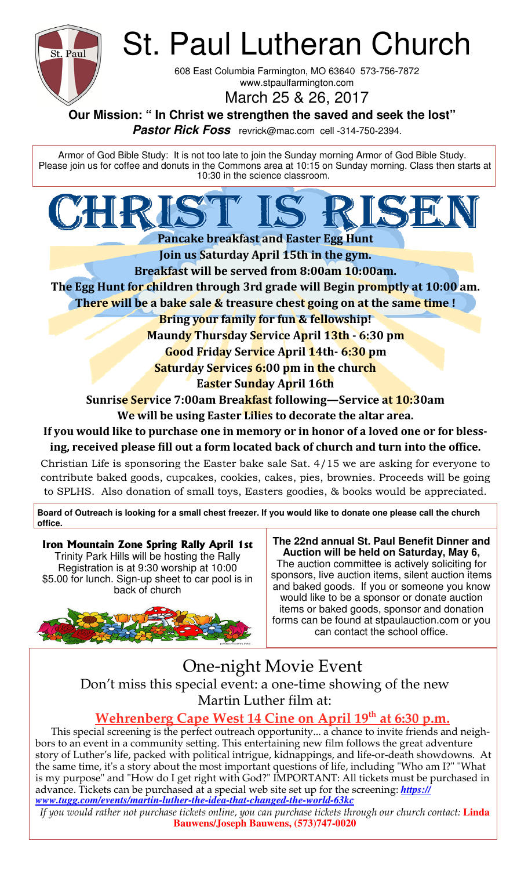

St. Paul Lutheran Church

608 East Columbia Farmington, MO 63640 573-756-7872 www.stpaulfarmington.com

March 25 & 26, 2017

**Our Mission: " In Christ we strengthen the saved and seek the lost"** 

 **Pastor Rick Foss** revrick@mac.com cell -314-750-2394.

Armor of God Bible Study: It is not too late to join the Sunday morning Armor of God Bible Study. Please join us for coffee and donuts in the Commons area at 10:15 on Sunday morning. Class then starts at 10:30 in the science classroom.

**Pancake breakfast and Easter Egg Hunt Join us Saturday April 15th in the gym. Breakfast will be served from 8:00am 10:00am. The Egg Hunt for children through 3rd grade will Begin promptly at 10:00 am. There will be a bake sale & treasure chest going on at the same time! Bring your family for fun & fellowship! Maundy Thursday Service April 13th - 6:30 pm Good Friday Service April 14th- 6:30 pm Saturday Services 6:00 pm in the church Easter Sunday April 16th Sunris<mark>e Ser</mark>vice 7:00am Brea<mark>kfas</mark>t following—Service at 10:30am** 

**We will be using Easter Lilies to decorate the altar area.** 

If you would like to purchase one in memory or in honor of a loved one or for blessing, received please fill out a form located back of church and turn into the office.

Christian Life is sponsoring the Easter bake sale Sat. 4/15 we are asking for everyone to contribute baked goods, cupcakes, cookies, cakes, pies, brownies. Proceeds will be going to SPLHS. Also donation of small toys, Easters goodies, & books would be appreciated.

**Board of Outreach is looking for a small chest freezer. If you would like to donate one please call the church office.** 

**Iron Mountain Zone Spring Rally April 1st** Trinity Park Hills will be hosting the Rally Registration is at 9:30 worship at 10:00 \$5.00 for lunch. Sign-up sheet to car pool is in back of church



**The 22nd annual St. Paul Benefit Dinner and Auction will be held on Saturday, May 6,**  The auction committee is actively soliciting for sponsors, live auction items, silent auction items and baked goods. If you or someone you know would like to be a sponsor or donate auction items or baked goods, sponsor and donation forms can be found at stpaulauction.com or you can contact the school office.

One-night Movie Event Don't miss this special event: a one-time showing of the new Martin Luther film at:

# **Wehrenberg Cape West 14 Cine on April 19<sup>th</sup> at 6:30 p.m.**

This special screening is the perfect outreach opportunity… a chance to invite friends and neighbors to an event in a community setting. This entertaining new film follows the great adventure story of Luther's life, packed with political intrigue, kidnappings, and life-or-death showdowns. At the same time, it's a story about the most important questions of life, including "Who am I?" "What is my purpose" and "How do I get right with God?" IMPORTANT: All tickets must be purchased in advance. Tickets can be purchased at a special web site set up for the screening: <mark>https://</mark> *www.tugg.com/events/martin-luther-the-idea-that-changed-the-world-63kc* 

*If you would rather not purchase tickets online, you can purchase tickets through our church contact: Linda* **Bauwens/Joseph Bauwens, (573)747-0020**